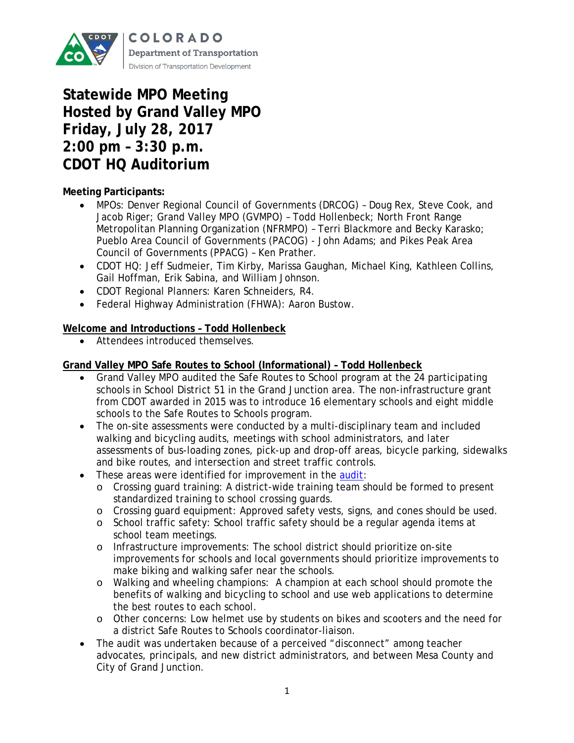

# **Statewide MPO Meeting Hosted by Grand Valley MPO Friday, July 28, 2017 2:00 pm – 3:30 p.m. CDOT HQ Auditorium**

# **Meeting Participants:**

- MPOs: Denver Regional Council of Governments (DRCOG) Doug Rex, Steve Cook, and Jacob Riger; Grand Valley MPO (GVMPO) – Todd Hollenbeck; North Front Range Metropolitan Planning Organization (NFRMPO) – Terri Blackmore and Becky Karasko; Pueblo Area Council of Governments (PACOG) - John Adams; and Pikes Peak Area Council of Governments (PPACG) – Ken Prather.
- CDOT HQ: Jeff Sudmeier, Tim Kirby, Marissa Gaughan, Michael King, Kathleen Collins, Gail Hoffman, Erik Sabina, and William Johnson.
- CDOT Regional Planners: Karen Schneiders, R4.
- Federal Highway Administration (FHWA): Aaron Bustow.

## **Welcome and Introductions – Todd Hollenbeck**

• Attendees introduced themselves.

## **Grand Valley MPO Safe Routes to School (Informational) – Todd Hollenbeck**

- Grand Valley MPO audited the Safe Routes to School program at the 24 participating schools in School District 51 in the Grand Junction area. The non-infrastructure grant from CDOT awarded in 2015 was to introduce 16 elementary schools and eight middle schools to the Safe Routes to Schools program.
- The on-site assessments were conducted by a multi-disciplinary team and included walking and bicycling audits, meetings with school administrators, and later assessments of bus-loading zones, pick-up and drop-off areas, bicycle parking, sidewalks and bike routes, and intersection and street traffic controls.
- These areas were identified for improvement in the [audit:](http://rtpo.mesacounty.us/template.aspx?id=26911)
	- o Crossing guard training: A district-wide training team should be formed to present standardized training to school crossing guards.
	- o Crossing guard equipment: Approved safety vests, signs, and cones should be used.
	- o School traffic safety: School traffic safety should be a regular agenda items at school team meetings.
	- o Infrastructure improvements: The school district should prioritize on-site improvements for schools and local governments should prioritize improvements to make biking and walking safer near the schools.
	- o Walking and wheeling champions: A champion at each school should promote the benefits of walking and bicycling to school and use web applications to determine the best routes to each school.
	- o Other concerns: Low helmet use by students on bikes and scooters and the need for a district Safe Routes to Schools coordinator-liaison.
- The audit was undertaken because of a perceived "disconnect" among teacher advocates, principals, and new district administrators, and between Mesa County and City of Grand Junction.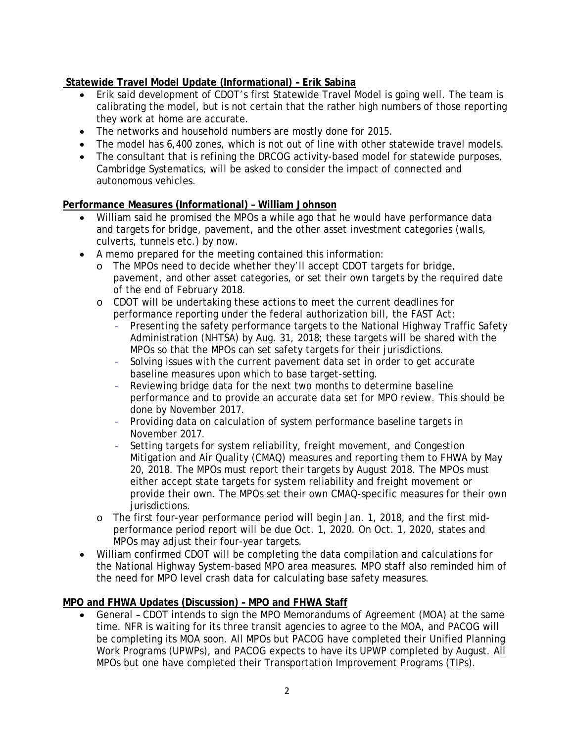# **Statewide Travel Model Update (Informational) – Erik Sabina**

- Erik said development of CDOT's first Statewide Travel Model is going well. The team is calibrating the model, but is not certain that the rather high numbers of those reporting they work at home are accurate.
- The networks and household numbers are mostly done for 2015.
- The model has 6,400 zones, which is not out of line with other statewide travel models.
- The consultant that is refining the DRCOG activity-based model for statewide purposes, Cambridge Systematics, will be asked to consider the impact of connected and autonomous vehicles.

#### **Performance Measures (Informational) – William Johnson**

- William said he promised the MPOs a while ago that he would have performance data and targets for bridge, pavement, and the other asset investment categories (walls, culverts, tunnels etc.) by now.
- A memo prepared for the meeting contained this information:
	- o The MPOs need to decide whether they'll accept CDOT targets for bridge, pavement, and other asset categories, or set their own targets by the required date of the end of February 2018.
	- o CDOT will be undertaking these actions to meet the current deadlines for performance reporting under the federal authorization bill, the FAST Act:
		- Presenting the safety performance targets to the National Highway Traffic Safety Administration (NHTSA) by Aug. 31, 2018; these targets will be shared with the MPOs so that the MPOs can set safety targets for their jurisdictions.
		- Solving issues with the current pavement data set in order to get accurate baseline measures upon which to base target-setting.
		- Reviewing bridge data for the next two months to determine baseline performance and to provide an accurate data set for MPO review. This should be done by November 2017.
		- Providing data on calculation of system performance baseline targets in November 2017.
		- Setting targets for system reliability, freight movement, and Congestion Mitigation and Air Quality (CMAQ) measures and reporting them to FHWA by May 20, 2018. The MPOs must report their targets by August 2018. The MPOs must either accept state targets for system reliability and freight movement or provide their own. The MPOs set their own CMAQ-specific measures for their own jurisdictions.
	- o The first four-year performance period will begin Jan. 1, 2018, and the first midperformance period report will be due Oct. 1, 2020. On Oct. 1, 2020, states and MPOs may adjust their four-year targets.
- William confirmed CDOT will be completing the data compilation and calculations for the National Highway System-based MPO area measures. MPO staff also reminded him of the need for MPO level crash data for calculating base safety measures.

#### **MPO and FHWA Updates (Discussion) – MPO and FHWA Staff**

• General – CDOT intends to sign the MPO Memorandums of Agreement (MOA) at the same time. NFR is waiting for its three transit agencies to agree to the MOA, and PACOG will be completing its MOA soon. All MPOs but PACOG have completed their Unified Planning Work Programs (UPWPs), and PACOG expects to have its UPWP completed by August. All MPOs but one have completed their Transportation Improvement Programs (TIPs).